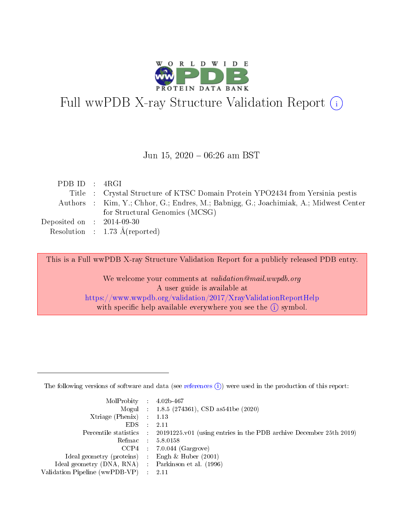

# Full wwPDB X-ray Structure Validation Report (i)

#### Jun 15, 2020 - 06:26 am BST

| PDBID : 4RGI                        |                                                                                       |
|-------------------------------------|---------------------------------------------------------------------------------------|
|                                     | Title : Crystal Structure of KTSC Domain Protein YPO2434 from Yersinia pestis         |
|                                     | Authors : Kim, Y.; Chhor, G.; Endres, M.; Babnigg, G.; Joachimiak, A.; Midwest Center |
|                                     | for Structural Genomics (MCSG)                                                        |
| Deposited on $\;$ : 2014-09-30 $\;$ |                                                                                       |
|                                     | Resolution : $1.73 \text{ Å}$ (reported)                                              |

This is a Full wwPDB X-ray Structure Validation Report for a publicly released PDB entry.

We welcome your comments at validation@mail.wwpdb.org A user guide is available at <https://www.wwpdb.org/validation/2017/XrayValidationReportHelp> with specific help available everywhere you see the  $(i)$  symbol.

The following versions of software and data (see [references](https://www.wwpdb.org/validation/2017/XrayValidationReportHelp#references)  $(1)$ ) were used in the production of this report:

| $MolProbability$ : 4.02b-467                      |                              |                                                                                            |
|---------------------------------------------------|------------------------------|--------------------------------------------------------------------------------------------|
|                                                   |                              | Mogul : $1.8.5$ (274361), CSD as 541be (2020)                                              |
| Xtriage (Phenix) $: 1.13$                         |                              |                                                                                            |
| EDS –                                             | $\sim$                       | -2.11                                                                                      |
|                                                   |                              | Percentile statistics : 20191225.v01 (using entries in the PDB archive December 25th 2019) |
| Refmac : 5.8.0158                                 |                              |                                                                                            |
| CCP4                                              |                              | $7.0.044$ (Gargrove)                                                                       |
| Ideal geometry (proteins)                         | $\mathcal{L}_{\mathrm{eff}}$ | Engh & Huber $(2001)$                                                                      |
| Ideal geometry (DNA, RNA) Parkinson et al. (1996) |                              |                                                                                            |
| Validation Pipeline (wwPDB-VP) : 2.11             |                              |                                                                                            |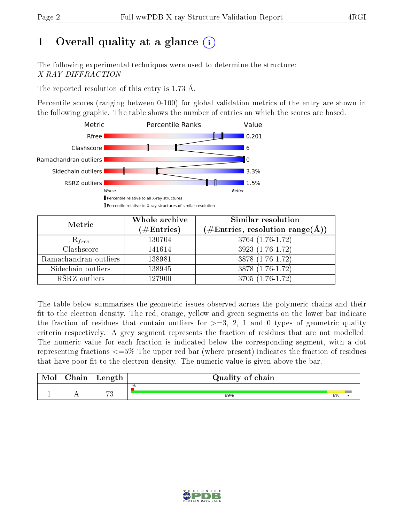# 1 [O](https://www.wwpdb.org/validation/2017/XrayValidationReportHelp#overall_quality)verall quality at a glance  $(i)$

The following experimental techniques were used to determine the structure: X-RAY DIFFRACTION

The reported resolution of this entry is 1.73 Å.

Percentile scores (ranging between 0-100) for global validation metrics of the entry are shown in the following graphic. The table shows the number of entries on which the scores are based.



| Metric                | Whole archive<br>$(\#\mathrm{Entries})$ | <b>Similar resolution</b><br>$(\#\text{Entries}, \text{resolution range}(\text{\AA}))$ |
|-----------------------|-----------------------------------------|----------------------------------------------------------------------------------------|
| $R_{free}$            | 130704                                  | 3764 (1.76-1.72)                                                                       |
| Clashscore            | 141614                                  | $3923(1.76-1.72)$                                                                      |
| Ramachandran outliers | 138981                                  | $3878(1.76-1.72)$                                                                      |
| Sidechain outliers    | 138945                                  | 3878 (1.76-1.72)                                                                       |
| RSRZ outliers         | 127900                                  | 3705 (1.76-1.72)                                                                       |

The table below summarises the geometric issues observed across the polymeric chains and their fit to the electron density. The red, orange, yellow and green segments on the lower bar indicate the fraction of residues that contain outliers for  $>=3, 2, 1$  and 0 types of geometric quality criteria respectively. A grey segment represents the fraction of residues that are not modelled. The numeric value for each fraction is indicated below the corresponding segment, with a dot representing fractions  $\epsilon=5\%$  The upper red bar (where present) indicates the fraction of residues that have poor fit to the electron density. The numeric value is given above the bar.

| Mol | $\cap$ hain | Length  | Quality of chain |    |  |
|-----|-------------|---------|------------------|----|--|
|     |             |         | %                |    |  |
|     |             | $H^{n}$ | 89%              | 8% |  |

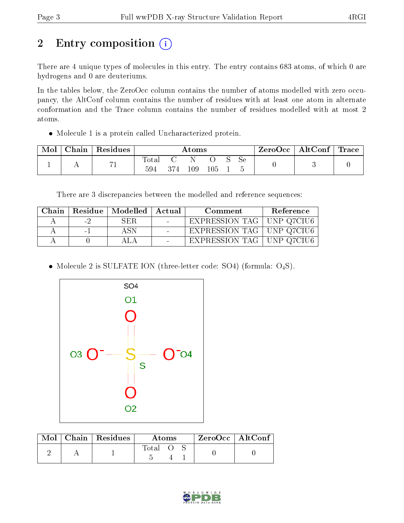# 2 Entry composition (i)

There are 4 unique types of molecules in this entry. The entry contains 683 atoms, of which 0 are hydrogens and 0 are deuteriums.

In the tables below, the ZeroOcc column contains the number of atoms modelled with zero occupancy, the AltConf column contains the number of residues with at least one atom in alternate conformation and the Trace column contains the number of residues modelled with at most 2 atoms.

Molecule 1 is a protein called Uncharacterized protein.

| $\gamma$ hain | Residues | Atoms        |  |     |  |  | ZeroOcc | AltConf | $^\mathrm{!}$ Trace |  |
|---------------|----------|--------------|--|-----|--|--|---------|---------|---------------------|--|
| . .           | 1 L      | lotal<br>594 |  | 109 |  |  | Sе      |         |                     |  |

There are 3 discrepancies between the modelled and reference sequences:

| Chain |        | Residue   Modelled | Actual | Comment                     | Reference |
|-------|--------|--------------------|--------|-----------------------------|-----------|
|       | - 7    | SER.               |        | EXPRESSION TAG   UNP Q7CIU6 |           |
|       | $\sim$ |                    |        | EXPRESSION TAG   UNP Q7CIU6 |           |
|       |        |                    |        | EXPRESSION TAG   UNP Q7CIU6 |           |

• Molecule 2 is SULFATE ION (three-letter code: SO4) (formula:  $O_4S$ ).



| Mol | Chain   Residues | Atoms |  |  | $ZeroOcc \   \ AltConf$ |  |
|-----|------------------|-------|--|--|-------------------------|--|
|     |                  | Total |  |  |                         |  |

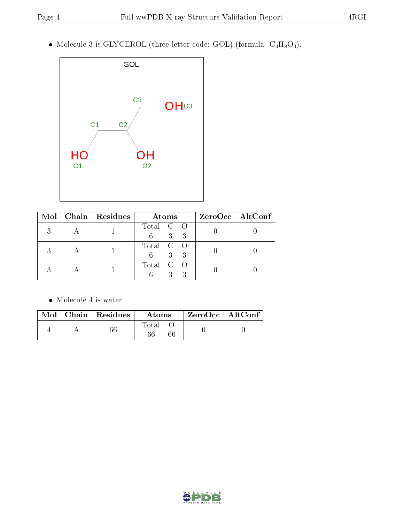• Molecule 3 is GLYCEROL (three-letter code: GOL) (formula:  $C_3H_8O_3$ ).



|   | Mol   Chain   Residues | Atoms                       | $ZeroOcc \   \$ AltConf |
|---|------------------------|-----------------------------|-------------------------|
|   |                        | Total C O<br>3 <sup>1</sup> |                         |
| 9 |                        | Total C O<br>$\mathcal{E}$  |                         |
|   |                        | Total C O                   |                         |

Molecule 4 is water.

|  | $\blacksquare$ Mol $\parallel$ Chain $\parallel$ Residues $\parallel$ | Atoms | $\mid$ ZeroOcc $\mid$ AltConf |  |
|--|-----------------------------------------------------------------------|-------|-------------------------------|--|
|  |                                                                       | Total |                               |  |

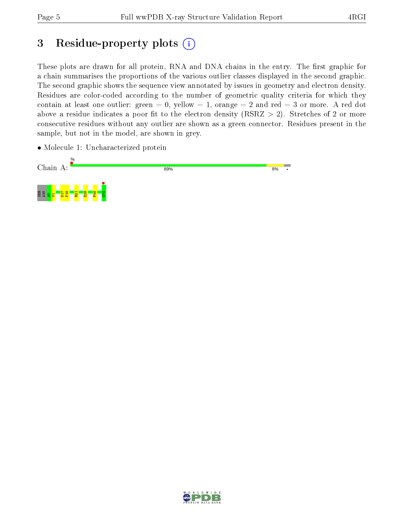# 3 Residue-property plots  $(i)$

These plots are drawn for all protein, RNA and DNA chains in the entry. The first graphic for a chain summarises the proportions of the various outlier classes displayed in the second graphic. The second graphic shows the sequence view annotated by issues in geometry and electron density. Residues are color-coded according to the number of geometric quality criteria for which they contain at least one outlier: green  $= 0$ , yellow  $= 1$ , orange  $= 2$  and red  $= 3$  or more. A red dot above a residue indicates a poor fit to the electron density (RSRZ  $> 2$ ). Stretches of 2 or more consecutive residues without any outlier are shown as a green connector. Residues present in the sample, but not in the model, are shown in grey.

• Molecule 1: Uncharacterized protein



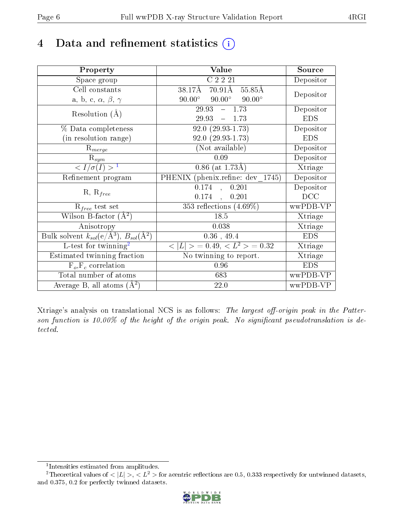## 4 Data and refinement statistics  $(i)$

| Property                                                             | Value                                            | Source     |
|----------------------------------------------------------------------|--------------------------------------------------|------------|
| Space group                                                          | C2221                                            | Depositor  |
| Cell constants                                                       | $70.91\text{\AA}$<br>38.17Å<br>55.85Å            | Depositor  |
| a, b, c, $\alpha$ , $\beta$ , $\gamma$                               | $90.00^{\circ}$ $90.00^{\circ}$<br>$90.00^\circ$ |            |
| Resolution $(A)$                                                     | 29.93<br>$-1.73$                                 | Depositor  |
|                                                                      | 29.93<br>$-1.73$                                 | <b>EDS</b> |
| % Data completeness                                                  | $92.0(29.93-1.73)$                               | Depositor  |
| (in resolution range)                                                | $92.0(29.93-1.73)$                               | <b>EDS</b> |
| $R_{merge}$                                                          | (Not available)                                  | Depositor  |
| $\mathrm{R}_{sym}$                                                   | 0.09                                             | Depositor  |
| $\langle I/\sigma(I)\rangle^{-1}$                                    | $0.86$ (at 1.73Å)                                | Xtriage    |
| Refinement program                                                   | PHENIX (phenix.refine: dev 1745)                 | Depositor  |
|                                                                      | $0.174$ ,<br>0.201                               | Depositor  |
| $R, R_{free}$                                                        | $0.174$ ,<br>0.201                               | DCC        |
| $R_{free}$ test set                                                  | 353 reflections $(4.69\%)$                       | wwPDB-VP   |
| Wilson B-factor $(A^2)$                                              | 18.5                                             | Xtriage    |
| Anisotropy                                                           | 0.038                                            | Xtriage    |
| Bulk solvent $k_{sol}(e/\mathring{A}^3)$ , $B_{sol}(\mathring{A}^2)$ | $0.36$ , 49.4                                    | <b>EDS</b> |
| L-test for twinning <sup>2</sup>                                     | $< L >$ = 0.49, $< L^2 >$ = 0.32                 | Xtriage    |
| Estimated twinning fraction                                          | No twinning to report.                           | Xtriage    |
| $F_o, F_c$ correlation                                               | 0.96                                             | <b>EDS</b> |
| Total number of atoms                                                | 683                                              | wwPDB-VP   |
| Average B, all atoms $(A^2)$                                         | 22.0                                             | wwPDB-VP   |

Xtriage's analysis on translational NCS is as follows: The largest off-origin peak in the Patterson function is 10.00% of the height of the origin peak. No significant pseudotranslation is detected.

<sup>&</sup>lt;sup>2</sup>Theoretical values of  $\langle |L| \rangle$ ,  $\langle L^2 \rangle$  for acentric reflections are 0.5, 0.333 respectively for untwinned datasets, and 0.375, 0.2 for perfectly twinned datasets.



<span id="page-5-1"></span><span id="page-5-0"></span><sup>1</sup> Intensities estimated from amplitudes.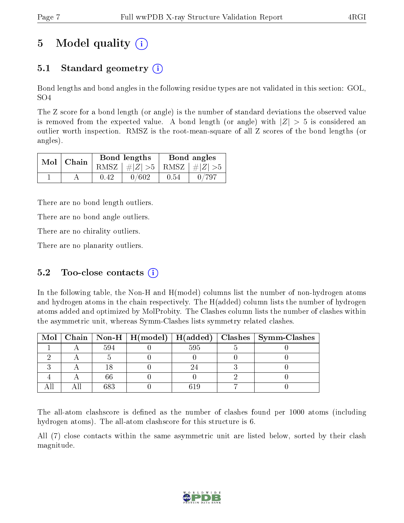# 5 Model quality  $(i)$

## 5.1 Standard geometry  $\overline{()}$

Bond lengths and bond angles in the following residue types are not validated in this section: GOL, SO4

The Z score for a bond length (or angle) is the number of standard deviations the observed value is removed from the expected value. A bond length (or angle) with  $|Z| > 5$  is considered an outlier worth inspection. RMSZ is the root-mean-square of all Z scores of the bond lengths (or angles).

| $Mol$   Chain |      | <b>Bond lengths</b>             | Bond angles |       |  |
|---------------|------|---------------------------------|-------------|-------|--|
|               |      | RMSZ $ #Z  > 5$ RMSZ $ #Z  > 5$ |             |       |  |
|               | 0.42 | 0/602                           | 0.54        | 0/797 |  |

There are no bond length outliers.

There are no bond angle outliers.

There are no chirality outliers.

There are no planarity outliers.

### 5.2 Too-close contacts  $(i)$

In the following table, the Non-H and H(model) columns list the number of non-hydrogen atoms and hydrogen atoms in the chain respectively. The H(added) column lists the number of hydrogen atoms added and optimized by MolProbity. The Clashes column lists the number of clashes within the asymmetric unit, whereas Symm-Clashes lists symmetry related clashes.

|  |     |     | Mol   Chain   Non-H   H(model)   H(added)   Clashes   Symm-Clashes |
|--|-----|-----|--------------------------------------------------------------------|
|  | 594 | 595 |                                                                    |
|  |     |     |                                                                    |
|  |     |     |                                                                    |
|  |     |     |                                                                    |
|  |     |     |                                                                    |

The all-atom clashscore is defined as the number of clashes found per 1000 atoms (including hydrogen atoms). The all-atom clashscore for this structure is 6.

All (7) close contacts within the same asymmetric unit are listed below, sorted by their clash magnitude.

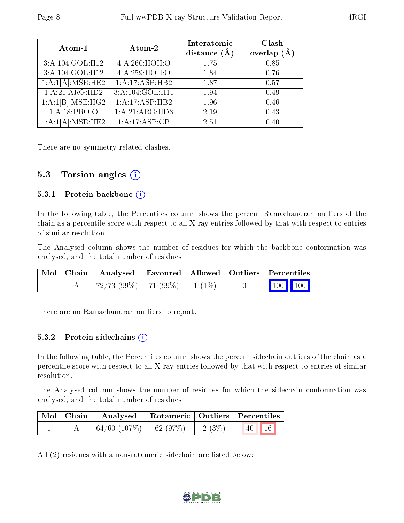| Atom-1                        | Atom-2          | Interatomic<br>distance $(\AA)$ | Clash<br>overlap $(A)$ |
|-------------------------------|-----------------|---------------------------------|------------------------|
| 3:A:104:GOL:H12               | 4: A:260:HOH:O  | 1.75                            | 0.85                   |
| 3:A:104:GOL:H12               | 4:A:259:HOH:O   | 1.84                            | 0.76                   |
| $1:\overline{A:1[A]:MSE:HE2}$ | 1:A:17:ASP:HB2  | 1.87                            | 0.57                   |
| 1:A:21:ARG:HD2                | 3:A:104:GOL:H11 | 1.94                            | 0.49                   |
| 1:A:1[B]:MSE:HG2              | 1:A:17:ASP:HB2  | 1.96                            | 0.46                   |
| 1:A:18:PRO:O                  | 1:A:21:ARG:HD3  | 2.19                            | 0.43                   |
| $1:A:1[A]:MSE:\overline{HE2}$ | 1:A:17:ASP:CB   | 2.51                            | 0.40                   |

There are no symmetry-related clashes.

### 5.3 Torsion angles  $(i)$

#### 5.3.1 Protein backbone (i)

In the following table, the Percentiles column shows the percent Ramachandran outliers of the chain as a percentile score with respect to all X-ray entries followed by that with respect to entries of similar resolution.

The Analysed column shows the number of residues for which the backbone conformation was analysed, and the total number of residues.

|  |                                          |  | $\mid$ Mol $\mid$ Chain $\mid$ Analysed $\mid$ Favoured $\mid$ Allowed $\mid$ Outliers $\mid$ Percentiles $\mid$ |  |
|--|------------------------------------------|--|------------------------------------------------------------------------------------------------------------------|--|
|  | $72/73$ (99\%)   $71$ (99\%)   $1$ (1\%) |  | $\begin{bmatrix} 100 \\ 100 \end{bmatrix}$ 100                                                                   |  |

There are no Ramachandran outliers to report.

#### 5.3.2 Protein sidechains  $(i)$

In the following table, the Percentiles column shows the percent sidechain outliers of the chain as a percentile score with respect to all X-ray entries followed by that with respect to entries of similar resolution.

The Analysed column shows the number of residues for which the sidechain conformation was analysed, and the total number of residues.

| Mol   Chain | Analysed   Rotameric   Outliers   Percentiles |  |          |                 |  |
|-------------|-----------------------------------------------|--|----------|-----------------|--|
|             | $\mid 64/60 \; (107\%) \mid 62 \; (97\%)$     |  | $2(3\%)$ | $\vert$ 40   16 |  |

All (2) residues with a non-rotameric sidechain are listed below:

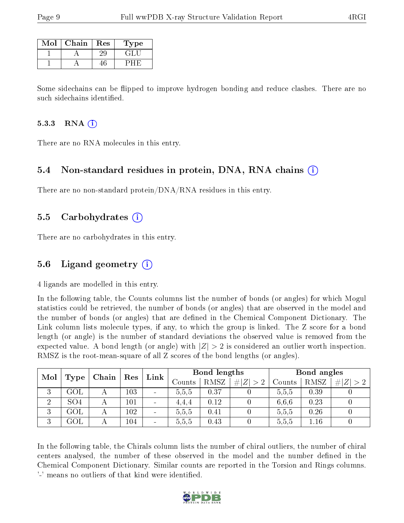| Mol | Chain | Res | 1'ype  |
|-----|-------|-----|--------|
|     |       |     | - 41 - |
|     |       |     |        |

Some sidechains can be flipped to improve hydrogen bonding and reduce clashes. There are no such sidechains identified.

#### 5.3.3 RNA  $(i)$

There are no RNA molecules in this entry.

#### 5.4 Non-standard residues in protein, DNA, RNA chains (i)

There are no non-standard protein/DNA/RNA residues in this entry.

#### 5.5 Carbohydrates (i)

There are no carbohydrates in this entry.

#### 5.6 Ligand geometry (i)

4 ligands are modelled in this entry.

In the following table, the Counts columns list the number of bonds (or angles) for which Mogul statistics could be retrieved, the number of bonds (or angles) that are observed in the model and the number of bonds (or angles) that are dened in the Chemical Component Dictionary. The Link column lists molecule types, if any, to which the group is linked. The Z score for a bond length (or angle) is the number of standard deviations the observed value is removed from the expected value. A bond length (or angle) with  $|Z| > 2$  is considered an outlier worth inspection. RMSZ is the root-mean-square of all Z scores of the bond lengths (or angles).

| Mol            |                 |       | Res | Bond lengths<br>Link     |        |             |             | Bond angles |      |             |
|----------------|-----------------|-------|-----|--------------------------|--------|-------------|-------------|-------------|------|-------------|
|                | Type            | Chain |     |                          | Counts | <b>RMSZ</b> | # $ Z  > 2$ | Counts      | RMSZ | Z  > 2<br># |
| 3              | GOL             |       | 103 | $\equiv$                 | 5.5.5  | 0.37        |             | 5.5,5       | 0.39 |             |
| $\overline{2}$ | SO <sub>4</sub> |       | 101 | $\equiv$                 | 4.4.4  | 0.12        |             | 6.6.6       | 0.23 |             |
| 3              | GOL             |       | 102 | $\overline{\phantom{a}}$ | 5,5,5  | $0.41\,$    |             | 5,5,5       | 0.26 |             |
| 3              | GOL             |       | 104 | $\sim$                   | 5.5.5  | 0.43        |             | 5,5,5       | .16  |             |

In the following table, the Chirals column lists the number of chiral outliers, the number of chiral centers analysed, the number of these observed in the model and the number defined in the Chemical Component Dictionary. Similar counts are reported in the Torsion and Rings columns. '-' means no outliers of that kind were identified.

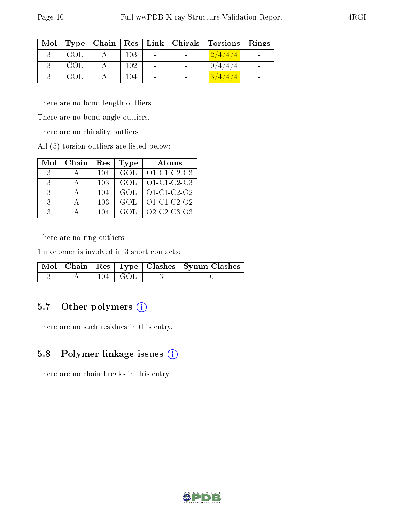| Mol |     |         |  | Type   Chain   Res   Link   Chirals   Torsions   Rings |  |
|-----|-----|---------|--|--------------------------------------------------------|--|
|     | GOL | 103     |  | 2/4/4/4                                                |  |
|     | GOL | $102\,$ |  | 0/4/4/4                                                |  |
|     | GOL | $104\,$ |  | 3/4/4/4                                                |  |

There are no bond length outliers.

There are no bond angle outliers.

There are no chirality outliers.

All (5) torsion outliers are listed below:

| Mol           | Chain | Res  | <b>Type</b> | Atoms                                                          |
|---------------|-------|------|-------------|----------------------------------------------------------------|
| $-3$          |       | 104  | GOL         | $O1-C1-C2-C3$                                                  |
| - 3           |       | 103  | GOL         | O1-C1-C2-C3                                                    |
| $\mathcal{R}$ |       | 104  | <b>GOL</b>  | $O1$ -C1-C2-O2                                                 |
| $\mathcal{R}$ |       | 103  | GOL         | O1-C1-C2-O2                                                    |
| 3             |       | -104 | GOL         | O <sub>2</sub> -C <sub>2</sub> -C <sub>3</sub> -O <sub>3</sub> |

There are no ring outliers.

1 monomer is involved in 3 short contacts:

|  |              | Mol   Chain   Res   Type   Clashes   Symm-Clashes |
|--|--------------|---------------------------------------------------|
|  | $104 + G(D)$ |                                                   |

### 5.7 [O](https://www.wwpdb.org/validation/2017/XrayValidationReportHelp#nonstandard_residues_and_ligands)ther polymers (i)

There are no such residues in this entry.

### 5.8 Polymer linkage issues (i)

There are no chain breaks in this entry.

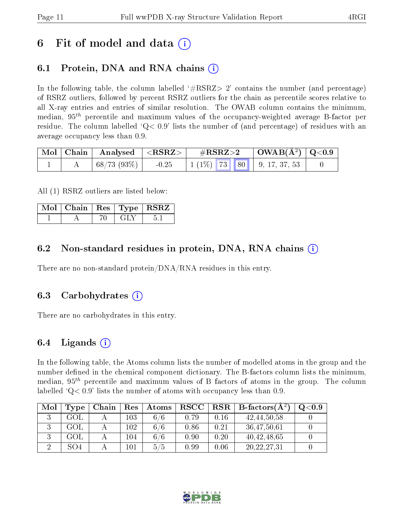## 6 Fit of model and data  $\left( \cdot \right)$

## 6.1 Protein, DNA and RNA chains (i)

In the following table, the column labelled  $#RSRZ>2'$  contains the number (and percentage) of RSRZ outliers, followed by percent RSRZ outliers for the chain as percentile scores relative to all X-ray entries and entries of similar resolution. The OWAB column contains the minimum, median,  $95<sup>th</sup>$  percentile and maximum values of the occupancy-weighted average B-factor per residue. The column labelled  $Q< 0.9$  lists the number of (and percentage) of residues with an average occupancy less than 0.9.

|  | $\vert$ Mol $\vert$ Chain $\vert$ Analysed $\vert$ <rsrz></rsrz> |         | $\rm \#RSRZ{>}2$ |  | $\begin{array}{c c c c} \hline \text{OWAB(A}^2) & \text{Q}<0.9 \end{array}$ |  |
|--|------------------------------------------------------------------|---------|------------------|--|-----------------------------------------------------------------------------|--|
|  | $\mid 68/73(93\%) \mid$                                          | $-0.25$ |                  |  | $\mid 1 \; (1\%) \mid 73 \mid 80 \mid 9, 17, 37, 53 \mid$                   |  |

All (1) RSRZ outliers are listed below:

| $\vert$ Mol $\vert$ Chain $\vert$ Res $\vert$ Type $\vert$ RSRZ |  |  |
|-----------------------------------------------------------------|--|--|
|                                                                 |  |  |

### 6.2 Non-standard residues in protein, DNA, RNA chains (i)

There are no non-standard protein/DNA/RNA residues in this entry.

#### 6.3 Carbohydrates (i)

There are no carbohydrates in this entry.

### 6.4 Ligands  $(i)$

In the following table, the Atoms column lists the number of modelled atoms in the group and the number defined in the chemical component dictionary. The B-factors column lists the minimum, median,  $95<sup>th</sup>$  percentile and maximum values of B factors of atoms in the group. The column labelled  $Q< 0.9$ ' lists the number of atoms with occupancy less than 0.9.

| Mol | Type | Chain | Res     | Atoms | $_{\rm RSCC}$ |      | $\text{RSR} \parallel \text{B-factors}(\AA^2)$ | $\mathrm{Q}{<}0.9$ |
|-----|------|-------|---------|-------|---------------|------|------------------------------------------------|--------------------|
|     | GOL  |       | $103\,$ | 6/6   | 0.79          | 0.16 | 42, 44, 50, 58                                 |                    |
|     | GOL  |       | $102\,$ | 6/6   | 0.86          | 0.21 | 36,47,50,61                                    |                    |
|     | GOL  |       | 104     | 6/6   | 0.90          | 0.20 | 40, 42, 48, 65                                 |                    |
|     | SO4  |       | $101\,$ | 5/5   | 0.99          | 0.06 | 20,22,27,31                                    |                    |